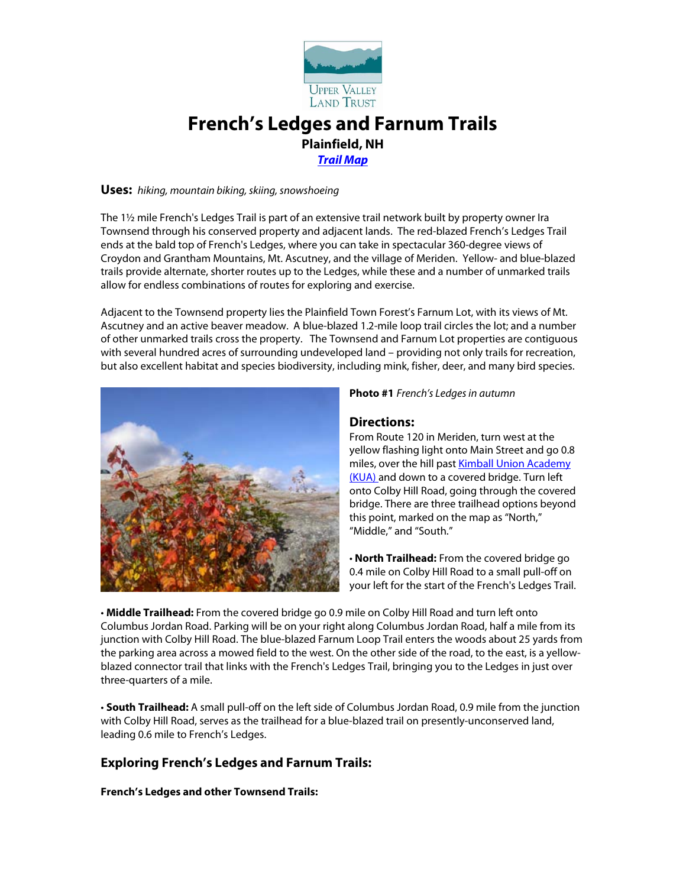

# **French's Ledges and Farnum Trails Plainfield, NH** *[Trail Map](http://www.uvlt.org/docs/trails/Frenchs-trailmap-2005-11-16.pdf)*

#### **Uses:** *hiking, mountain biking, skiing, snowshoeing*

The 1½ mile French's Ledges Trail is part of an extensive trail network built by property owner Ira Townsend through his conserved property and adjacent lands. The red-blazed French's Ledges Trail ends at the bald top of French's Ledges, where you can take in spectacular 360-degree views of Croydon and Grantham Mountains, Mt. Ascutney, and the village of Meriden. Yellow- and blue-blazed trails provide alternate, shorter routes up to the Ledges, while these and a number of unmarked trails allow for endless combinations of routes for exploring and exercise.

Adjacent to the Townsend property lies the Plainfield Town Forest's Farnum Lot, with its views of Mt. Ascutney and an active beaver meadow. A blue-blazed 1.2-mile loop trail circles the lot; and a number of other unmarked trails cross the property. The Townsend and Farnum Lot properties are contiguous with several hundred acres of surrounding undeveloped land – providing not only trails for recreation, but also excellent habitat and species biodiversity, including mink, fisher, deer, and many bird species.



**Photo #1** *French's Ledgesin autumn*

## **Directions:**

From Route 120 in Meriden, turn west at the yellow flashing light onto Main Street and go 0.8 miles, over the hill past **Kimball Union Academy** [\(KUA\) a](http://www.kua.org/Default.asp?bhcp=1)nd down to a covered bridge. Turn left onto Colby Hill Road, going through the covered bridge. There are three trailhead options beyond this point, marked on the map as "North," "Middle," and "South."

• **North Trailhead:** From the covered bridge go 0.4 mile on Colby Hill Road to a small pull-off on your left for the start of the French's Ledges Trail.

• **Middle Trailhead:** From the covered bridge go 0.9 mile on Colby Hill Road and turn left onto Columbus Jordan Road. Parking will be on your right along Columbus Jordan Road, half a mile from its junction with Colby Hill Road. The blue-blazed Farnum Loop Trail enters the woods about 25 yards from the parking area across a mowed field to the west. On the other side of the road, to the east, is a yellowblazed connector trail that links with the French's Ledges Trail, bringing you to the Ledges in just over three-quarters of a mile.

• **South Trailhead:** A small pull-off on the left side of Columbus Jordan Road, 0.9 mile from the junction with Colby Hill Road, serves as the trailhead for a blue-blazed trail on presently-unconserved land, leading 0.6 mile to French's Ledges.

# **Exploring French's Ledges and Farnum Trails:**

**French's Ledges and other Townsend Trails:**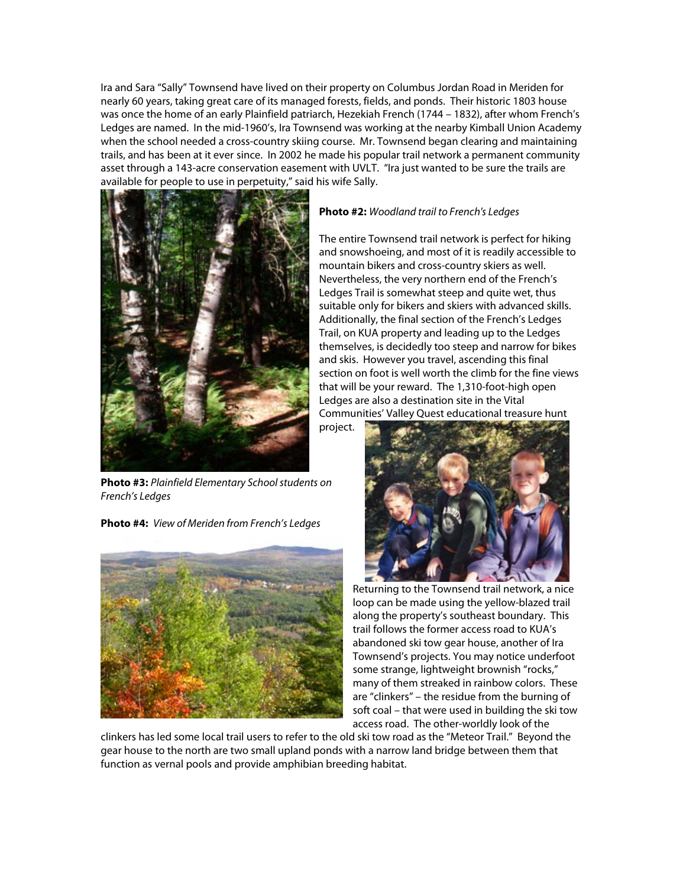Ira and Sara "Sally" Townsend have lived on their property on Columbus Jordan Road in Meriden for nearly 60 years, taking great care of its managed forests, fields, and ponds. Their historic 1803 house was once the home of an early Plainfield patriarch, Hezekiah French (1744 – 1832), after whom French's Ledges are named. In the mid-1960's, Ira Townsend was working at the nearby Kimball Union Academy when the school needed a cross-country skiing course. Mr. Townsend began clearing and maintaining trails, and has been at it ever since. In 2002 he made his popular trail network a permanent community asset through a 143-acre conservation easement with UVLT. "Ira just wanted to be sure the trails are available for people to use in perpetuity," said his wife Sally.



**Photo #3:** *Plainfield Elementary School students on French's Ledges*

**Photo #4:** *View of Meriden from French's Ledges*



#### **Photo #2:** *Woodland trail to French's Ledges*

The entire Townsend trail network is perfect for hiking and snowshoeing, and most of it is readily accessible to mountain bikers and cross-country skiers as well. Nevertheless, the very northern end of the French's Ledges Trail is somewhat steep and quite wet, thus suitable only for bikers and skiers with advanced skills. Additionally, the final section of the French's Ledges Trail, on KUA property and leading up to the Ledges themselves, is decidedly too steep and narrow for bikes and skis. However you travel, ascending this final section on foot is well worth the climb for the fine views that will be your reward. The 1,310-foot-high open Ledges are also a destination site in the Vital Communities' Valley Quest educational treasure hunt

project.



Returning to the Townsend trail network, a nice loop can be made using the yellow-blazed trail along the property's southeast boundary. This trail follows the former access road to KUA's abandoned ski tow gear house, another of Ira Townsend's projects. You may notice underfoot some strange, lightweight brownish "rocks," many of them streaked in rainbow colors. These are "clinkers" – the residue from the burning of soft coal – that were used in building the ski tow access road. The other-worldly look of the

clinkers has led some local trail users to refer to the old ski tow road as the "Meteor Trail." Beyond the gear house to the north are two small upland ponds with a narrow land bridge between them that function as vernal pools and provide amphibian breeding habitat.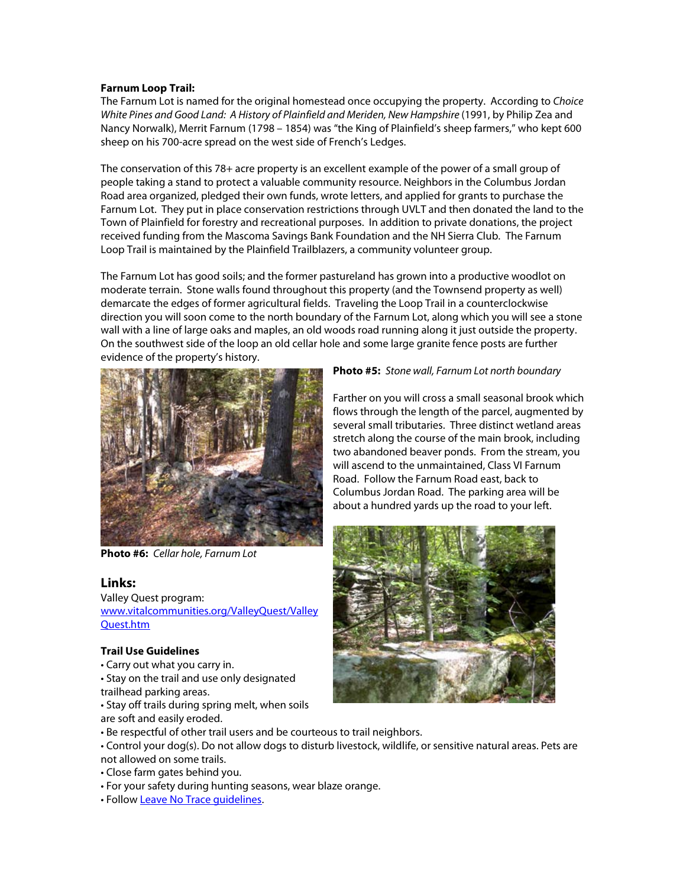#### **Farnum Loop Trail:**

The Farnum Lot is named for the original homestead once occupying the property. According to *Choice*  White Pines and Good Land: A History of Plainfield and Meriden, New Hampshire (1991, by Philip Zea and Nancy Norwalk), Merrit Farnum (1798 – 1854) was "the King of Plainfield's sheep farmers," who kept 600 sheep on his 700-acre spread on the west side of French's Ledges.

The conservation of this 78+ acre property is an excellent example of the power of a small group of people taking a stand to protect a valuable community resource. Neighbors in the Columbus Jordan Road area organized, pledged their own funds, wrote letters, and applied for grants to purchase the Farnum Lot. They put in place conservation restrictions through UVLT and then donated the land to the Town of Plainfield for forestry and recreational purposes. In addition to private donations, the project received funding from the Mascoma Savings Bank Foundation and the NH Sierra Club. The Farnum Loop Trail is maintained by the Plainfield Trailblazers, a community volunteer group.

The Farnum Lot has good soils; and the former pastureland has grown into a productive woodlot on moderate terrain. Stone walls found throughout this property (and the Townsend property as well) demarcate the edges of former agricultural fields. Traveling the Loop Trail in a counterclockwise direction you will soon come to the north boundary of the Farnum Lot, along which you will see a stone wall with a line of large oaks and maples, an old woods road running along it just outside the property. On the southwest side of the loop an old cellar hole and some large granite fence posts are further evidence of the property's history.



**Photo #6:** *Cellar hole, Farnum Lot*

### **Links:**

Valley Quest program: [www.vitalcommunities.org/ValleyQuest/Valley](http://www.vitalcommunities.org/ValleyQuest/ValleyQuest.htm) [Quest.htm](http://www.vitalcommunities.org/ValleyQuest/ValleyQuest.htm)

#### **Trail Use Guidelines**

- Carry out what you carry in.
- Stay on the trail and use only designated trailhead parking areas.
- Stay off trails during spring melt, when soils are soft and easily eroded.
- Be respectful of other trail users and be courteous to trail neighbors.
- Control your dog(s). Do not allow dogs to disturb livestock, wildlife, or sensitive natural areas. Pets are
- not allowed on some trails.
- Close farm gates behind you.
- For your safety during hunting seasons, wear blaze orange.
- Follow [Leave No Trace guidelines.](http://www.lnt.org/)

#### **Photo #5:** *Stone wall, Farnum Lot north boundary*

Farther on you will cross a small seasonal brook which flows through the length of the parcel, augmented by several small tributaries. Three distinct wetland areas stretch along the course of the main brook, including two abandoned beaver ponds. From the stream, you will ascend to the unmaintained, Class VI Farnum Road. Follow the Farnum Road east, back to Columbus Jordan Road. The parking area will be about a hundred yards up the road to your left.